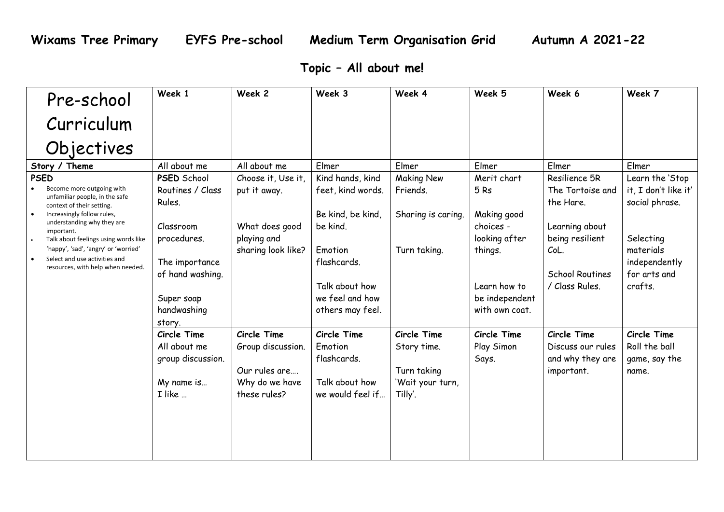## **Topic – All about me!**

| Pre-school                                                                                                                                                                                                                                                                                                                              | Week 1                                                                                                                                                    | Week 2                                                                                    | Week 3                                                                                                                                                    | Week 4                                                                   | Week 5                                                                                                                         | Week 6                                                                                                                                  | Week 7                                                                                                                          |
|-----------------------------------------------------------------------------------------------------------------------------------------------------------------------------------------------------------------------------------------------------------------------------------------------------------------------------------------|-----------------------------------------------------------------------------------------------------------------------------------------------------------|-------------------------------------------------------------------------------------------|-----------------------------------------------------------------------------------------------------------------------------------------------------------|--------------------------------------------------------------------------|--------------------------------------------------------------------------------------------------------------------------------|-----------------------------------------------------------------------------------------------------------------------------------------|---------------------------------------------------------------------------------------------------------------------------------|
| Curriculum                                                                                                                                                                                                                                                                                                                              |                                                                                                                                                           |                                                                                           |                                                                                                                                                           |                                                                          |                                                                                                                                |                                                                                                                                         |                                                                                                                                 |
| Objectives                                                                                                                                                                                                                                                                                                                              |                                                                                                                                                           |                                                                                           |                                                                                                                                                           |                                                                          |                                                                                                                                |                                                                                                                                         |                                                                                                                                 |
| Story / Theme                                                                                                                                                                                                                                                                                                                           | All about me                                                                                                                                              | All about me                                                                              | Elmer                                                                                                                                                     | Elmer                                                                    | Elmer                                                                                                                          | Elmer                                                                                                                                   | Elmer                                                                                                                           |
| <b>PSED</b><br>Become more outgoing with<br>unfamiliar people, in the safe<br>context of their setting.<br>Increasingly follow rules,<br>understanding why they are<br>important.<br>Talk about feelings using words like<br>'happy', 'sad', 'angry' or 'worried'<br>Select and use activities and<br>resources, with help when needed. | <b>PSED School</b><br>Routines / Class<br>Rules.<br>Classroom<br>procedures.<br>The importance<br>of hand washing.<br>Super soap<br>handwashing<br>story. | Choose it, Use it,<br>put it away.<br>What does good<br>playing and<br>sharing look like? | Kind hands, kind<br>feet, kind words.<br>Be kind, be kind,<br>be kind.<br>Emotion<br>flashcards.<br>Talk about how<br>we feel and how<br>others may feel. | <b>Making New</b><br>Friends.<br>Sharing is caring.<br>Turn taking.      | Merit chart<br>5Rs<br>Making good<br>choices -<br>looking after<br>things.<br>Learn how to<br>be independent<br>with own coat. | Resilience 5R<br>The Tortoise and<br>the Hare.<br>Learning about<br>being resilient<br>CoL.<br><b>School Routines</b><br>/ Class Rules. | Learn the 'Stop<br>it, I don't like it'<br>social phrase.<br>Selecting<br>materials<br>independently<br>for arts and<br>crafts. |
|                                                                                                                                                                                                                                                                                                                                         | Circle Time<br>All about me<br>group discussion.<br>My name is<br>I like                                                                                  | Circle Time<br>Group discussion.<br>Our rules are<br>Why do we have<br>these rules?       | Circle Time<br>Emotion<br>flashcards.<br>Talk about how<br>we would feel if                                                                               | Circle Time<br>Story time.<br>Turn taking<br>'Wait your turn,<br>Tilly'. | Circle Time<br>Play Simon<br>Says.                                                                                             | Circle Time<br>Discuss our rules<br>and why they are<br>important.                                                                      | Circle Time<br>Roll the ball<br>game, say the<br>name.                                                                          |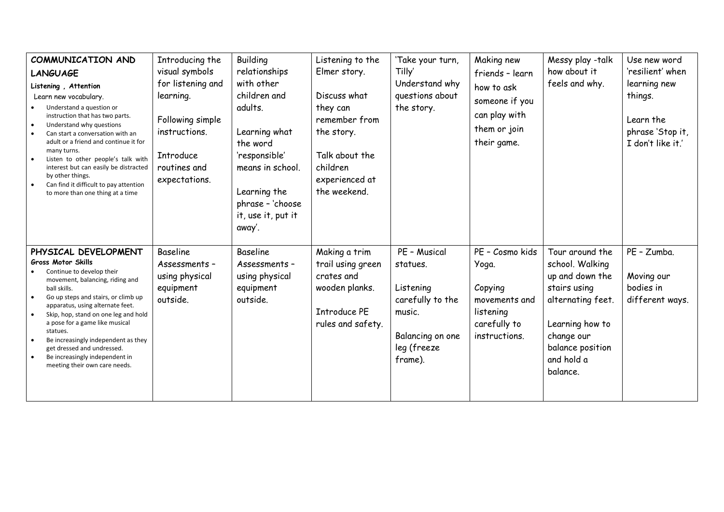| COMMUNICATION AND<br><b>LANGUAGE</b><br>Listening, Attention<br>Learn new vocabulary.<br>Understand a question or<br>instruction that has two parts.<br>Understand why questions<br>Can start a conversation with an<br>adult or a friend and continue it for<br>many turns.<br>Listen to other people's talk with<br>interest but can easily be distracted<br>by other things.<br>Can find it difficult to pay attention<br>to more than one thing at a time | Introducing the<br>visual symbols<br>for listening and<br>learning.<br>Following simple<br>instructions.<br>Introduce<br>routines and<br>expectations. | <b>Building</b><br>relationships<br>with other<br>children and<br>adults.<br>Learning what<br>the word<br>'responsible'<br>means in school.<br>Learning the<br>phrase - 'choose<br>it, use it, put it<br>away'. | Listening to the<br>Elmer story.<br>Discuss what<br>they can<br>remember from<br>the story.<br>Talk about the<br>children<br>experienced at<br>the weekend. | 'Take your turn,<br>Tilly'<br>Understand why<br>questions about<br>the story.                                     | Making new<br>friends - learn<br>how to ask<br>someone if you<br>can play with<br>them or join<br>their game. | Messy play -talk<br>how about it<br>feels and why.                                                                                                                        | Use new word<br>'resilient' when<br>learning new<br>things.<br>Learn the<br>phrase 'Stop it,<br>I don't like it.' |
|---------------------------------------------------------------------------------------------------------------------------------------------------------------------------------------------------------------------------------------------------------------------------------------------------------------------------------------------------------------------------------------------------------------------------------------------------------------|--------------------------------------------------------------------------------------------------------------------------------------------------------|-----------------------------------------------------------------------------------------------------------------------------------------------------------------------------------------------------------------|-------------------------------------------------------------------------------------------------------------------------------------------------------------|-------------------------------------------------------------------------------------------------------------------|---------------------------------------------------------------------------------------------------------------|---------------------------------------------------------------------------------------------------------------------------------------------------------------------------|-------------------------------------------------------------------------------------------------------------------|
| PHYSICAL DEVELOPMENT<br>Gross Motor Skills<br>Continue to develop their<br>movement, balancing, riding and<br>ball skills.<br>Go up steps and stairs, or climb up<br>apparatus, using alternate feet.<br>Skip, hop, stand on one leg and hold<br>a pose for a game like musical<br>statues.<br>Be increasingly independent as they<br>get dressed and undressed.<br>Be increasingly independent in<br>meeting their own care needs.                           | <b>Baseline</b><br>Assessments -<br>using physical<br>equipment<br>outside.                                                                            | <b>Baseline</b><br>Assessments -<br>using physical<br>equipment<br>outside.                                                                                                                                     | Making a trim<br>trail using green<br>crates and<br>wooden planks.<br><b>Introduce PE</b><br>rules and safety.                                              | PE - Musical<br>statues.<br>Listening<br>carefully to the<br>music.<br>Balancing on one<br>leg (freeze<br>frame). | PE - Cosmo kids<br>Yoga.<br>Copying<br>movements and<br>listening<br>carefully to<br>instructions.            | Tour around the<br>school. Walking<br>up and down the<br>stairs using<br>alternating feet.<br>Learning how to<br>change our<br>balance position<br>and hold a<br>balance. | PE - Zumba.<br>Moving our<br>bodies in<br>different ways.                                                         |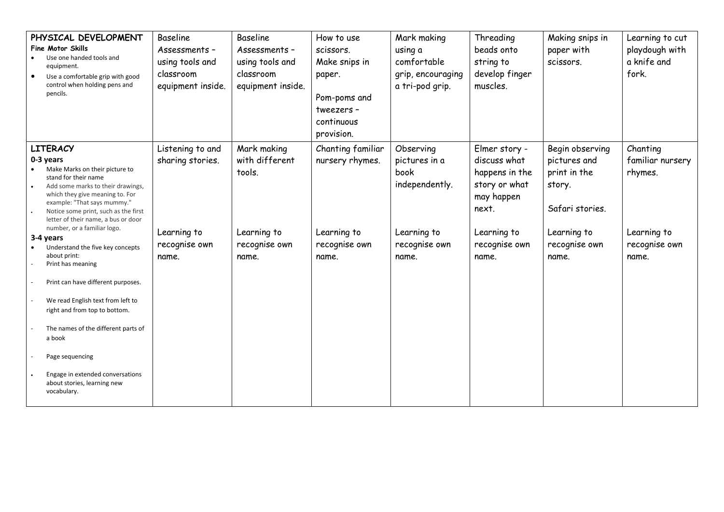| PHYSICAL DEVELOPMENT<br>Fine Motor Skills<br>Use one handed tools and<br>equipment.<br>$\bullet$<br>Use a comfortable grip with good<br>control when holding pens and<br>pencils.                                                                                                                                                                                                                 | <b>Baseline</b><br>Assessments -<br>using tools and<br>classroom<br>equipment inside. | <b>Baseline</b><br>Assessments -<br>using tools and<br>classroom<br>equipment inside. | How to use<br>scissors.<br>Make snips in<br>paper.<br>Pom-poms and<br>tweezers -<br>continuous<br>provision. | Mark making<br>using a<br>comfortable<br>grip, encouraging<br>a tri-pod grip.                 | Threading<br>beads onto<br>string to<br>develop finger<br>muscles.                                                               | Making snips in<br>paper with<br>scissors.                                                                            | Learning to cut<br>playdough with<br>a knife and<br>fork.                        |
|---------------------------------------------------------------------------------------------------------------------------------------------------------------------------------------------------------------------------------------------------------------------------------------------------------------------------------------------------------------------------------------------------|---------------------------------------------------------------------------------------|---------------------------------------------------------------------------------------|--------------------------------------------------------------------------------------------------------------|-----------------------------------------------------------------------------------------------|----------------------------------------------------------------------------------------------------------------------------------|-----------------------------------------------------------------------------------------------------------------------|----------------------------------------------------------------------------------|
| <b>LITERACY</b><br>0-3 years<br>Make Marks on their picture to<br>stand for their name<br>Add some marks to their drawings,<br>which they give meaning to. For<br>example: "That says mummy."<br>Notice some print, such as the first<br>letter of their name, a bus or door<br>number, or a familiar logo.<br>3-4 years<br>Understand the five key concepts<br>about print:<br>Print has meaning | Listening to and<br>sharing stories.<br>Learning to<br>recognise own<br>name.         | Mark making<br>with different<br>tools.<br>Learning to<br>recognise own<br>name.      | Chanting familiar<br>nursery rhymes.<br>Learning to<br>recognise own<br>name.                                | Observing<br>pictures in a<br>book<br>independently.<br>Learning to<br>recognise own<br>name. | Elmer story -<br>discuss what<br>happens in the<br>story or what<br>may happen<br>next.<br>Learning to<br>recognise own<br>name. | Begin observing<br>pictures and<br>print in the<br>story.<br>Safari stories.<br>Learning to<br>recognise own<br>name. | Chanting<br>familiar nursery<br>rhymes.<br>Learning to<br>recognise own<br>name. |
| Print can have different purposes.<br>We read English text from left to<br>right and from top to bottom.<br>The names of the different parts of<br>a book<br>Page sequencing<br>Engage in extended conversations<br>about stories, learning new<br>vocabulary.                                                                                                                                    |                                                                                       |                                                                                       |                                                                                                              |                                                                                               |                                                                                                                                  |                                                                                                                       |                                                                                  |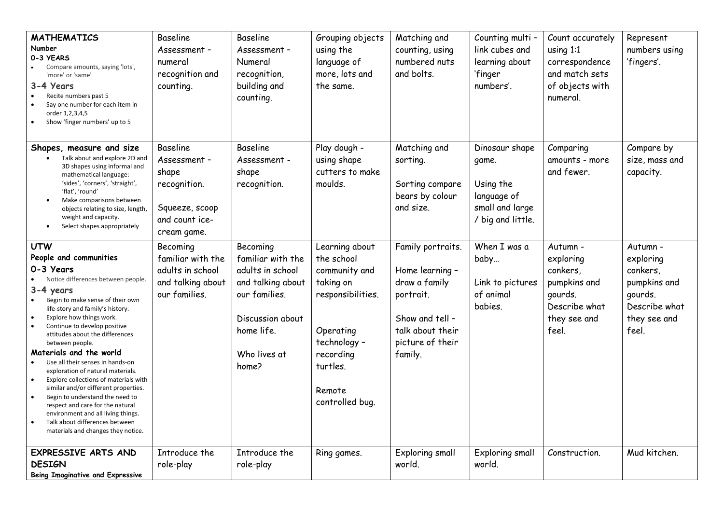| <b>MATHEMATICS</b><br>Number<br>0-3 YEARS<br>Compare amounts, saying 'lots',<br>'more' or 'same'<br>3-4 Years<br>Recite numbers past 5<br>Say one number for each item in<br>order 1,2,3,4,5<br>Show 'finger numbers' up to 5                                                                                                                                                                                                                                                                                                                                                                                                                                             | <b>Baseline</b><br>Assessment -<br>numeral<br>recognition and<br>counting.                                  | <b>Baseline</b><br>Assessment -<br>Numeral<br>recognition,<br>building and<br>counting.                                                            | Grouping objects<br>using the<br>language of<br>more, lots and<br>the same.                                                                                        | Matching and<br>counting, using<br>numbered nuts<br>and bolts.                                                                           | Counting multi -<br>link cubes and<br>learning about<br>'finger<br>numbers'.                | Count accurately<br>using $1:1$<br>correspondence<br>and match sets<br>of objects with<br>numeral.     | Represent<br>numbers using<br>'fingers'.                                                               |
|---------------------------------------------------------------------------------------------------------------------------------------------------------------------------------------------------------------------------------------------------------------------------------------------------------------------------------------------------------------------------------------------------------------------------------------------------------------------------------------------------------------------------------------------------------------------------------------------------------------------------------------------------------------------------|-------------------------------------------------------------------------------------------------------------|----------------------------------------------------------------------------------------------------------------------------------------------------|--------------------------------------------------------------------------------------------------------------------------------------------------------------------|------------------------------------------------------------------------------------------------------------------------------------------|---------------------------------------------------------------------------------------------|--------------------------------------------------------------------------------------------------------|--------------------------------------------------------------------------------------------------------|
| Shapes, measure and size<br>Talk about and explore 2D and<br>3D shapes using informal and<br>mathematical language:<br>'sides', 'corners', 'straight',<br>'flat', 'round'<br>Make comparisons between<br>objects relating to size, length,<br>weight and capacity.<br>Select shapes appropriately                                                                                                                                                                                                                                                                                                                                                                         | <b>Baseline</b><br>Assessment -<br>shape<br>recognition.<br>Squeeze, scoop<br>and count ice-<br>cream game. | Baseline<br>Assessment -<br>shape<br>recognition.                                                                                                  | Play dough -<br>using shape<br>cutters to make<br>moulds.                                                                                                          | Matching and<br>sorting.<br>Sorting compare<br>bears by colour<br>and size.                                                              | Dinosaur shape<br>game.<br>Using the<br>language of<br>small and large<br>/ big and little. | Comparing<br>amounts - more<br>and fewer.                                                              | Compare by<br>size, mass and<br>capacity.                                                              |
| <b>UTW</b><br>People and communities<br>0-3 Years<br>Notice differences between people.<br>$3-4$ years<br>Begin to make sense of their own<br>life-story and family's history.<br>Explore how things work.<br>Continue to develop positive<br>attitudes about the differences<br>between people.<br>Materials and the world<br>Use all their senses in hands-on<br>exploration of natural materials.<br>Explore collections of materials with<br>similar and/or different properties.<br>Begin to understand the need to<br>respect and care for the natural<br>environment and all living things<br>Talk about differences between<br>materials and changes they notice. | Becoming<br>familiar with the<br>adults in school<br>and talking about<br>our families.                     | Becoming<br>familiar with the<br>adults in school<br>and talking about<br>our families.<br>Discussion about<br>home life.<br>Who lives at<br>home? | Learning about<br>the school<br>community and<br>taking on<br>responsibilities.<br>Operating<br>technology -<br>recording<br>turtles.<br>Remote<br>controlled bug. | Family portraits.<br>Home learning -<br>draw a family<br>portrait.<br>Show and tell -<br>talk about their<br>picture of their<br>family. | When I was a<br>baby<br>Link to pictures<br>of animal<br>babies.                            | Autumn -<br>exploring<br>conkers,<br>pumpkins and<br>gourds.<br>Describe what<br>they see and<br>feel. | Autumn -<br>exploring<br>conkers,<br>pumpkins and<br>gourds.<br>Describe what<br>they see and<br>feel. |
| EXPRESSIVE ARTS AND<br><b>DESIGN</b><br><b>Being Imaginative and Expressive</b>                                                                                                                                                                                                                                                                                                                                                                                                                                                                                                                                                                                           | Introduce the<br>role-play                                                                                  | Introduce the<br>role-play                                                                                                                         | Ring games.                                                                                                                                                        | Exploring small<br>world.                                                                                                                | Exploring small<br>world.                                                                   | Construction.                                                                                          | Mud kitchen.                                                                                           |